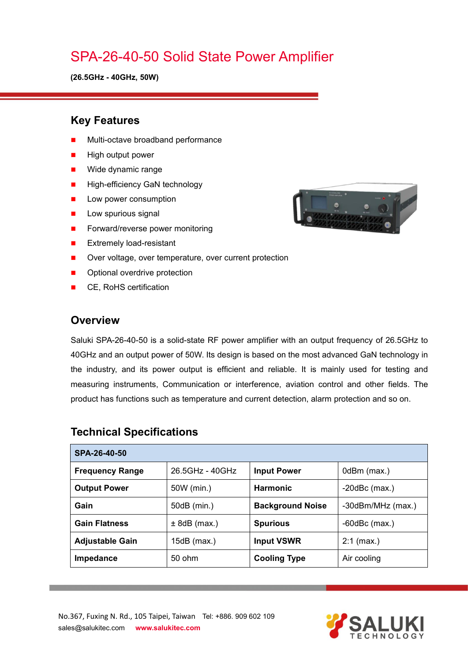# SPA-26-40-50 Solid State Power Amplifier

**(26.5GHz - 40GHz, 50W)**

#### **Key Features**

- Multi-octave broadband performance
- High output power
- **Nide dynamic range**
- **High-efficiency GaN technology**
- **Low power consumption**
- $\blacksquare$  Low spurious signal
- Forward/reverse power monitoring
- **EXtremely load-resistant**
- Over voltage, over temperature, over current protection
- Optional overdrive protection
- CE, RoHS certification

#### **Overview**

Saluki SPA-26-40-50 is a solid-state RF power amplifier with an output frequency of 26.5GHz to 40GHz and an output power of 50W. Its design is based on the most advanced GaN technology in the industry, and its power output is efficient and reliable. It is mainly used for testing and measuring instruments, Communication or interference, aviation control and other fields. The product has functions such as temperature and current detection, alarm protection and so on.

| SPA-26-40-50           |                 |                         |                    |
|------------------------|-----------------|-------------------------|--------------------|
| <b>Frequency Range</b> | 26.5GHz - 40GHz | <b>Input Power</b>      | 0dBm (max.)        |
| <b>Output Power</b>    | 50W (min.)      | <b>Harmonic</b>         | $-20$ dBc $(max.)$ |
| Gain                   | 50dB (min.)     | <b>Background Noise</b> | -30dBm/MHz (max.)  |
| <b>Gain Flatness</b>   | $± 8dB$ (max.)  | <b>Spurious</b>         | $-60$ dBc $(max.)$ |
| <b>Adjustable Gain</b> | 15dB (max.)     | <b>Input VSWR</b>       | $2:1$ (max.)       |
| Impedance              | 50 ohm          | <b>Cooling Type</b>     | Air cooling        |

#### **Technical Specifications**